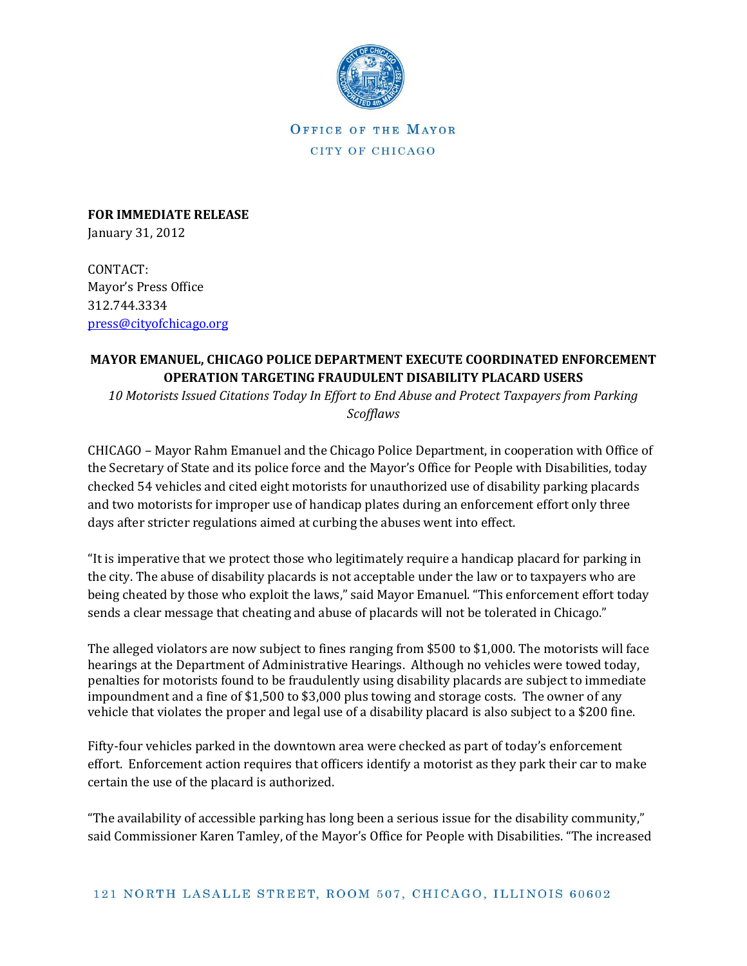

OFFICE OF THE MAYOR CITY OF CHICAGO

**FOR IMMEDIATE RELEASE** January 31, 2012

CONTACT: Mayor's Press Office 312.744.3334 [press@cityofchicago.org](mailto:press@cityofchicago.org)

## **MAYOR EMANUEL, CHICAGO POLICE DEPARTMENT EXECUTE COORDINATED ENFORCEMENT OPERATION TARGETING FRAUDULENT DISABILITY PLACARD USERS**

*10 Motorists Issued Citations Today In Effort to End Abuse and Protect Taxpayers from Parking Scofflaws*

CHICAGO – Mayor Rahm Emanuel and the Chicago Police Department, in cooperation with Office of the Secretary of State and its police force and the Mayor's Office for People with Disabilities, today checked 54 vehicles and cited eight motorists for unauthorized use of disability parking placards and two motorists for improper use of handicap plates during an enforcement effort only three days after stricter regulations aimed at curbing the abuses went into effect.

"It is imperative that we protect those who legitimately require a handicap placard for parking in the city. The abuse of disability placards is not acceptable under the law or to taxpayers who are being cheated by those who exploit the laws," said Mayor Emanuel. "This enforcement effort today sends a clear message that cheating and abuse of placards will not be tolerated in Chicago."

The alleged violators are now subject to fines ranging from \$500 to \$1,000. The motorists will face hearings at the Department of Administrative Hearings. Although no vehicles were towed today, penalties for motorists found to be fraudulently using disability placards are subject to immediate impoundment and a fine of \$1,500 to \$3,000 plus towing and storage costs. The owner of any vehicle that violates the proper and legal use of a disability placard is also subject to a \$200 fine.

Fifty-four vehicles parked in the downtown area were checked as part of today's enforcement effort. Enforcement action requires that officers identify a motorist as they park their car to make certain the use of the placard is authorized.

"The availability of accessible parking has long been a serious issue for the disability community," said Commissioner Karen Tamley, of the Mayor's Office for People with Disabilities. "The increased